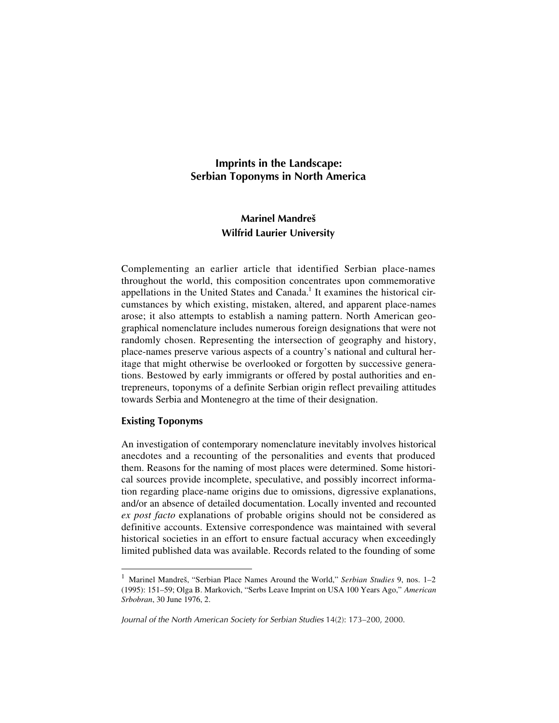## **Imprints in the Landscape: Serbian Toponyms in North America**

# **Marinel Mandreš Wilfrid Laurier University**

Complementing an earlier article that identified Serbian place-names throughout the world, this composition concentrates upon commemorative appellations in the United States and Canada.<sup>1</sup> It examines the historical circumstances by which existing, mistaken, altered, and apparent place-names arose; it also attempts to establish a naming pattern. North American geographical nomenclature includes numerous foreign designations that were not randomly chosen. Representing the intersection of geography and history, place-names preserve various aspects of a country's national and cultural heritage that might otherwise be overlooked or forgotten by successive generations. Bestowed by early immigrants or offered by postal authorities and entrepreneurs, toponyms of a definite Serbian origin reflect prevailing attitudes towards Serbia and Montenegro at the time of their designation.

## **Existing Toponyms**

An investigation of contemporary nomenclature inevitably involves historical anecdotes and a recounting of the personalities and events that produced them. Reasons for the naming of most places were determined. Some historical sources provide incomplete, speculative, and possibly incorrect information regarding place-name origins due to omissions, digressive explanations, and/or an absence of detailed documentation. Locally invented and recounted *ex post facto* explanations of probable origins should not be considered as definitive accounts. Extensive correspondence was maintained with several historical societies in an effort to ensure factual accuracy when exceedingly limited published data was available. Records related to the founding of some

<sup>&</sup>lt;sup>1</sup> Marinel Mandreš, "Serbian Place Names Around the World," Serbian Studies 9, nos. 1-2 (1995): 151–59; Olga B. Markovich, "Serbs Leave Imprint on USA 100 Years Ago," *American Srbobran*, 30 June 1976, 2.

Journal of the North American Society for Serbian Studies 14(2): 173–200, 2000.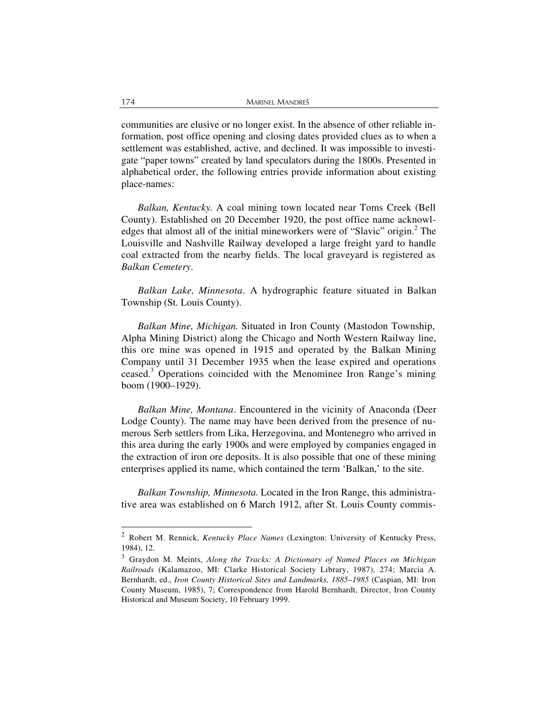communities are elusive or no longer exist. In the absence of other reliable information, post office opening and closing dates provided clues as to when a settlement was established, active, and declined. It was impossible to investigate "paper towns" created by land speculators during the 1800s. Presented in alphabetical order, the following entries provide information about existing place-names:

*Balkan, Kentucky*. A coal mining town located near Toms Creek (Bell County). Established on 20 December 1920, the post office name acknowledges that almost all of the initial mineworkers were of "Slavic" origin.<sup>2</sup> The Louisville and Nashville Railway developed a large freight yard to handle coal extracted from the nearby fields. The local graveyard is registered as *Balkan Cemetery*.

*Balkan Lake, Minnesota*. A hydrographic feature situated in Balkan Township (St. Louis County).

*Balkan Mine, Michigan*. Situated in Iron County (Mastodon Township, Alpha Mining District) along the Chicago and North Western Railway line, this ore mine was opened in 1915 and operated by the Balkan Mining Company until 31 December 1935 when the lease expired and operations ceased.<sup>3</sup> Operations coincided with the Menominee Iron Range's mining boom (1900–1929).

*Balkan Mine, Montana*. Encountered in the vicinity of Anaconda (Deer Lodge County). The name may have been derived from the presence of numerous Serb settlers from Lika, Herzegovina, and Montenegro who arrived in this area during the early 1900s and were employed by companies engaged in the extraction of iron ore deposits. It is also possible that one of these mining enterprises applied its name, which contained the term 'Balkan,' to the site.

*Balkan Township, Minnesota*. Located in the Iron Range, this administrative area was established on 6 March 1912, after St. Louis County commis-

<sup>2</sup> Robert M. Rennick, *Kentucky Place Names* (Lexington: University of Kentucky Press, 1984), 12.

<sup>3</sup> Graydon M. Meints, *Along the Tracks: A Dictionary of Named Places on Michigan Railroads* (Kalamazoo, MI: Clarke Historical Society Library, 1987), 274; Marcia A. Bernhardt, ed., *Iron County Historical Sites and Landmarks, 1885–1985* (Caspian, MI: Iron County Museum, 1985), 7; Correspondence from Harold Bernhardt, Director, Iron County Historical and Museum Society, 10 February 1999.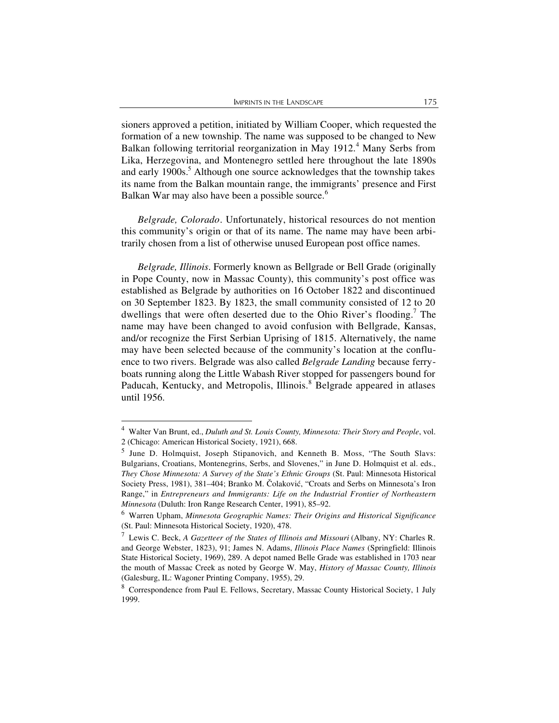sioners approved a petition, initiated by William Cooper, which requested the formation of a new township. The name was supposed to be changed to New Balkan following territorial reorganization in May 1912.<sup>4</sup> Many Serbs from Lika, Herzegovina, and Montenegro settled here throughout the late 1890s and early 1900s.<sup>5</sup> Although one source acknowledges that the township takes its name from the Balkan mountain range, the immigrants' presence and First Balkan War may also have been a possible source.<sup>6</sup>

*Belgrade, Colorado*. Unfortunately, historical resources do not mention this community's origin or that of its name. The name may have been arbitrarily chosen from a list of otherwise unused European post office names.

*Belgrade, Illinois*. Formerly known as Bellgrade or Bell Grade (originally in Pope County, now in Massac County), this community's post office was established as Belgrade by authorities on 16 October 1822 and discontinued on 30 September 1823. By 1823, the small community consisted of 12 to 20 dwellings that were often deserted due to the Ohio River's flooding.<sup>7</sup> The name may have been changed to avoid confusion with Bellgrade, Kansas, and/or recognize the First Serbian Uprising of 1815. Alternatively, the name may have been selected because of the community's location at the confluence to two rivers. Belgrade was also called *Belgrade Landing* because ferryboats running along the Little Wabash River stopped for passengers bound for Paducah, Kentucky, and Metropolis, Illinois.<sup>8</sup> Belgrade appeared in atlases until 1956.

<sup>4</sup> Walter Van Brunt, ed., *Duluth and St. Louis County, Minnesota: Their Story and People*, vol. 2 (Chicago: American Historical Society, 1921), 668.

<sup>&</sup>lt;sup>5</sup> June D. Holmquist, Joseph Stipanovich, and Kenneth B. Moss, "The South Slavs: Bulgarians, Croatians, Montenegrins, Serbs, and Slovenes," in June D. Holmquist et al. eds., *They Chose Minnesota: A Survey of the State's Ethnic Groups* (St. Paul: Minnesota Historical Society Press, 1981), 381–404; Branko M. Colaković, "Croats and Serbs on Minnesota's Iron Range," in *Entrepreneurs and Immigrants: Life on the Industrial Frontier of Northeastern Minnesota* (Duluth: Iron Range Research Center, 1991), 85–92.

<sup>6</sup> Warren Upham, *Minnesota Geographic Names: Their Origins and Historical Significance* (St. Paul: Minnesota Historical Society, 1920), 478.

<sup>7</sup> Lewis C. Beck, *A Gazetteer of the States of Illinois and Missouri* (Albany, NY: Charles R. and George Webster, 1823), 91; James N. Adams, *Illinois Place Names* (Springfield: Illinois State Historical Society, 1969), 289. A depot named Belle Grade was established in 1703 near the mouth of Massac Creek as noted by George W. May, *History of Massac County, Illinois* (Galesburg, IL: Wagoner Printing Company, 1955), 29.

<sup>&</sup>lt;sup>8</sup> Correspondence from Paul E. Fellows, Secretary, Massac County Historical Society, 1 July 1999.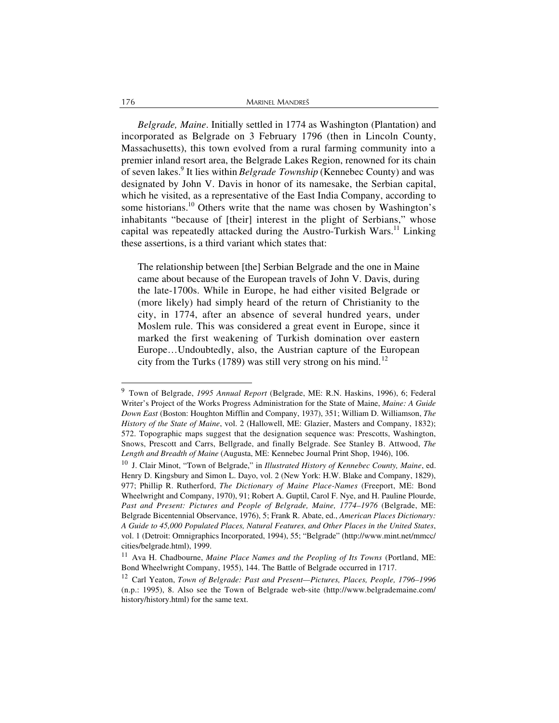*Belgrade, Maine*. Initially settled in 1774 as Washington (Plantation) and incorporated as Belgrade on 3 February 1796 (then in Lincoln County, Massachusetts), this town evolved from a rural farming community into a premier inland resort area, the Belgrade Lakes Region, renowned for its chain of seven lakes.<sup>9</sup> It lies within *Belgrade Township* (Kennebec County) and was designated by John V. Davis in honor of its namesake, the Serbian capital, which he visited, as a representative of the East India Company, according to some historians.<sup>10</sup> Others write that the name was chosen by Washington's inhabitants "because of [their] interest in the plight of Serbians," whose capital was repeatedly attacked during the Austro-Turkish Wars.<sup>11</sup> Linking these assertions, is a third variant which states that:

The relationship between [the] Serbian Belgrade and the one in Maine came about because of the European travels of John V. Davis, during the late-1700s. While in Europe, he had either visited Belgrade or (more likely) had simply heard of the return of Christianity to the city, in 1774, after an absence of several hundred years, under Moslem rule. This was considered a great event in Europe, since it marked the first weakening of Turkish domination over eastern Europe…Undoubtedly, also, the Austrian capture of the European city from the Turks (1789) was still very strong on his mind.<sup>12</sup>

<sup>9</sup> Town of Belgrade, *1995 Annual Report* (Belgrade, ME: R.N. Haskins, 1996), 6; Federal Writer's Project of the Works Progress Administration for the State of Maine, *Maine: A Guide Down East* (Boston: Houghton Mifflin and Company, 1937), 351; William D. Williamson, *The History of the State of Maine*, vol. 2 (Hallowell, ME: Glazier, Masters and Company, 1832); 572. Topographic maps suggest that the designation sequence was: Prescotts, Washington, Snows, Prescott and Carrs, Bellgrade, and finally Belgrade. See Stanley B. Attwood, *The Length and Breadth of Maine* (Augusta, ME: Kennebec Journal Print Shop, 1946), 106.

<sup>10</sup> J. Clair Minot, "Town of Belgrade," in *Illustrated History of Kennebec County, Maine*, ed. Henry D. Kingsbury and Simon L. Dayo, vol. 2 (New York: H.W. Blake and Company, 1829), 977; Phillip R. Rutherford, *The Dictionary of Maine Place-Names* (Freeport, ME: Bond Wheelwright and Company, 1970), 91; Robert A. Guptil, Carol F. Nye, and H. Pauline Plourde, *Past and Present: Pictures and People of Belgrade, Maine, 1774–1976* (Belgrade, ME: Belgrade Bicentennial Observance, 1976), 5; Frank R. Abate, ed., *American Places Dictionary: A Guide to 45,000 Populated Places, Natural Features, and Other Places in the United States*, vol. 1 (Detroit: Omnigraphics Incorporated, 1994), 55; "Belgrade" (http://www.mint.net/mmcc/ cities/belgrade.html), 1999.

<sup>11</sup> Ava H. Chadbourne, *Maine Place Names and the Peopling of Its Towns* (Portland, ME: Bond Wheelwright Company, 1955), 144. The Battle of Belgrade occurred in 1717.

<sup>12</sup> Carl Yeaton, *Town of Belgrade: Past and Present—Pictures, Places, People, 1796–1996* (n.p.: 1995), 8. Also see the Town of Belgrade web-site (http://www.belgrademaine.com/ history/history.html) for the same text.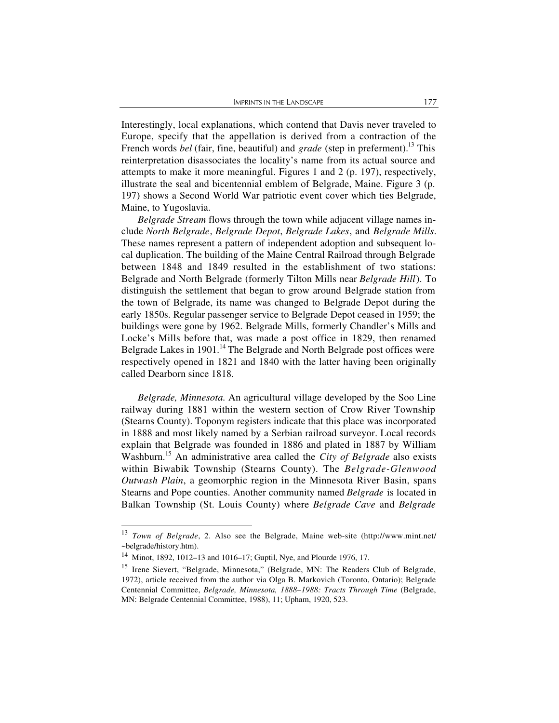Interestingly, local explanations, which contend that Davis never traveled to Europe, specify that the appellation is derived from a contraction of the French words *bel* (fair, fine, beautiful) and *grade* (step in preferment).<sup>13</sup> This reinterpretation disassociates the locality's name from its actual source and attempts to make it more meaningful. Figures 1 and 2 (p. 197), respectively, illustrate the seal and bicentennial emblem of Belgrade, Maine. Figure 3 (p. 197) shows a Second World War patriotic event cover which ties Belgrade, Maine, to Yugoslavia.

*Belgrade Stream* flows through the town while adjacent village names include *North Belgrade*, *Belgrade Depot*, *Belgrade Lakes*, and *Belgrade Mills*. These names represent a pattern of independent adoption and subsequent local duplication. The building of the Maine Central Railroad through Belgrade between 1848 and 1849 resulted in the establishment of two stations: Belgrade and North Belgrade (formerly Tilton Mills near *Belgrade Hill*). To distinguish the settlement that began to grow around Belgrade station from the town of Belgrade, its name was changed to Belgrade Depot during the early 1850s. Regular passenger service to Belgrade Depot ceased in 1959; the buildings were gone by 1962. Belgrade Mills, formerly Chandler's Mills and Locke's Mills before that, was made a post office in 1829, then renamed Belgrade Lakes in  $1901$ .<sup>14</sup> The Belgrade and North Belgrade post offices were respectively opened in 1821 and 1840 with the latter having been originally called Dearborn since 1818.

*Belgrade, Minnesota*. An agricultural village developed by the Soo Line railway during 1881 within the western section of Crow River Township (Stearns County). Toponym registers indicate that this place was incorporated in 1888 and most likely named by a Serbian railroad surveyor. Local records explain that Belgrade was founded in 1886 and plated in 1887 by William Washburn.15 An administrative area called the *City of Belgrade* also exists within Biwabik Township (Stearns County). The *Belgrade-Glenwood Outwash Plain*, a geomorphic region in the Minnesota River Basin, spans Stearns and Pope counties. Another community named *Belgrade* is located in Balkan Township (St. Louis County) where *Belgrade Cave* and *Belgrade*

<sup>13</sup> *Town of Belgrade*, 2. Also see the Belgrade, Maine web-site (http://www.mint.net/ ~belgrade/history.htm).

<sup>14</sup> Minot, 1892, 1012–13 and 1016–17; Guptil, Nye, and Plourde 1976, 17.

<sup>&</sup>lt;sup>15</sup> Irene Sievert, "Belgrade, Minnesota," (Belgrade, MN: The Readers Club of Belgrade, 1972), article received from the author via Olga B. Markovich (Toronto, Ontario); Belgrade Centennial Committee, *Belgrade, Minnesota, 1888–1988: Tracts Through Time* (Belgrade, MN: Belgrade Centennial Committee, 1988), 11; Upham, 1920, 523.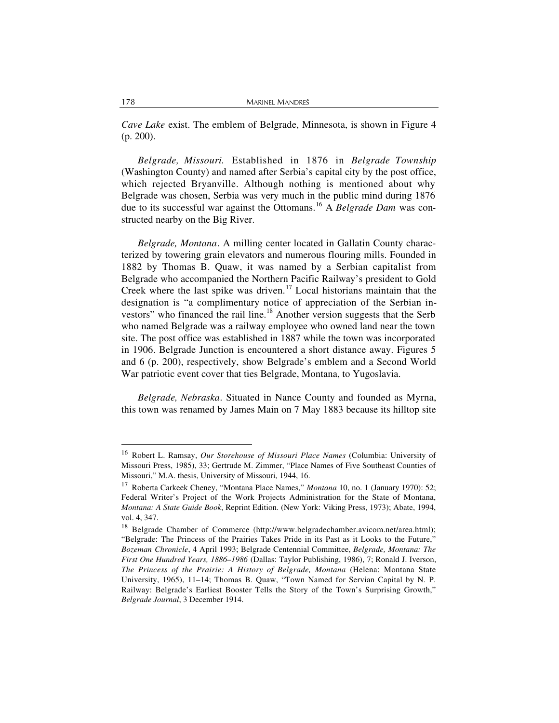*Cave Lake* exist. The emblem of Belgrade, Minnesota, is shown in Figure 4 (p. 200).

*Belgrade, Missouri.* Established in 1876 in *Belgrade Township* (Washington County) and named after Serbia's capital city by the post office, which rejected Bryanville. Although nothing is mentioned about why Belgrade was chosen, Serbia was very much in the public mind during 1876 due to its successful war against the Ottomans.16 A *Belgrade Dam* was constructed nearby on the Big River.

*Belgrade, Montana*. A milling center located in Gallatin County characterized by towering grain elevators and numerous flouring mills. Founded in 1882 by Thomas B. Quaw, it was named by a Serbian capitalist from Belgrade who accompanied the Northern Pacific Railway's president to Gold Creek where the last spike was driven.<sup>17</sup> Local historians maintain that the designation is "a complimentary notice of appreciation of the Serbian investors" who financed the rail line. $18$  Another version suggests that the Serb who named Belgrade was a railway employee who owned land near the town site. The post office was established in 1887 while the town was incorporated in 1906. Belgrade Junction is encountered a short distance away. Figures 5 and 6 (p. 200), respectively, show Belgrade's emblem and a Second World War patriotic event cover that ties Belgrade, Montana, to Yugoslavia.

*Belgrade, Nebraska*. Situated in Nance County and founded as Myrna, this town was renamed by James Main on 7 May 1883 because its hilltop site

<sup>16</sup> Robert L. Ramsay, *Our Storehouse of Missouri Place Names* (Columbia: University of Missouri Press, 1985), 33; Gertrude M. Zimmer, "Place Names of Five Southeast Counties of Missouri," M.A. thesis, University of Missouri, 1944, 16.

<sup>17</sup> Roberta Carkeek Cheney, "Montana Place Names," *Montana* 10, no. 1 (January 1970): 52; Federal Writer's Project of the Work Projects Administration for the State of Montana, *Montana: A State Guide Book*, Reprint Edition. (New York: Viking Press, 1973); Abate, 1994, vol. 4, 347.

<sup>18</sup> Belgrade Chamber of Commerce (http://www.belgradechamber.avicom.net/area.html); "Belgrade: The Princess of the Prairies Takes Pride in its Past as it Looks to the Future," *Bozeman Chronicle*, 4 April 1993; Belgrade Centennial Committee, *Belgrade, Montana: The First One Hundred Years, 1886–1986* (Dallas: Taylor Publishing, 1986), 7; Ronald J. Iverson, *The Princess of the Prairie: A History of Belgrade, Montana* (Helena: Montana State University, 1965), 11–14; Thomas B. Quaw, "Town Named for Servian Capital by N. P. Railway: Belgrade's Earliest Booster Tells the Story of the Town's Surprising Growth," *Belgrade Journal*, 3 December 1914.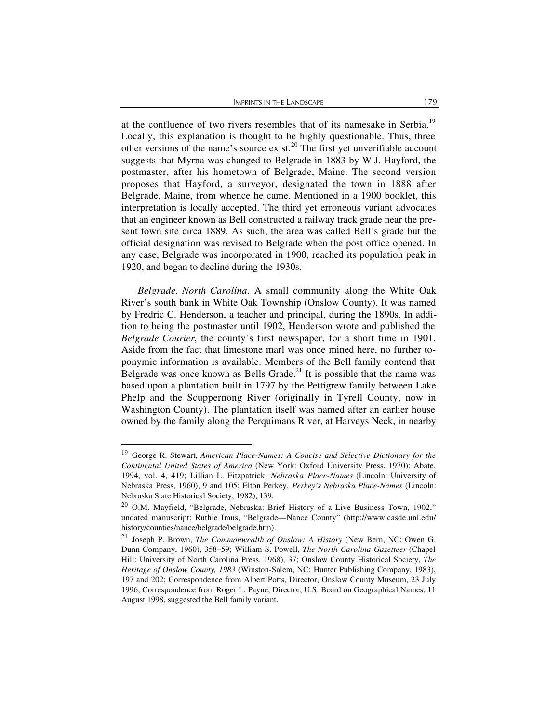at the confluence of two rivers resembles that of its namesake in Serbia.<sup>19</sup> Locally, this explanation is thought to be highly questionable. Thus, three other versions of the name's source exist.<sup>20</sup> The first yet unverifiable account suggests that Myrna was changed to Belgrade in 1883 by W.J. Hayford, the postmaster, after his hometown of Belgrade, Maine. The second version proposes that Hayford, a surveyor, designated the town in 1888 after Belgrade, Maine, from whence he came. Mentioned in a 1900 booklet, this interpretation is locally accepted. The third yet erroneous variant advocates that an engineer known as Bell constructed a railway track grade near the present town site circa 1889. As such, the area was called Bell's grade but the official designation was revised to Belgrade when the post office opened. In any case, Belgrade was incorporated in 1900, reached its population peak in 1920, and began to decline during the 1930s.

*Belgrade, North Carolina*. A small community along the White Oak River's south bank in White Oak Township (Onslow County). It was named by Fredric C. Henderson, a teacher and principal, during the 1890s. In addition to being the postmaster until 1902, Henderson wrote and published the *Belgrade Courier*, the county's first newspaper, for a short time in 1901. Aside from the fact that limestone marl was once mined here, no further toponymic information is available. Members of the Bell family contend that Belgrade was once known as Bells Grade.<sup>21</sup> It is possible that the name was based upon a plantation built in 1797 by the Pettigrew family between Lake Phelp and the Scuppernong River (originally in Tyrell County, now in Washington County). The plantation itself was named after an earlier house owned by the family along the Perquimans River, at Harveys Neck, in nearby

<sup>19</sup> George R. Stewart, *American Place-Names: A Concise and Selective Dictionary for the Continental United States of America* (New York: Oxford University Press, 1970); Abate, 1994, vol. 4, 419; Lillian L. Fitzpatrick, *Nebraska Place-Names* (Lincoln: University of Nebraska Press, 1960), 9 and 105; Elton Perkey, *Perkey's Nebraska Place-Names* (Lincoln: Nebraska State Historical Society, 1982), 139.

 $20$  O.M. Mayfield, "Belgrade, Nebraska: Brief History of a Live Business Town, 1902," undated manuscript; Ruthie Imus, "Belgrade—Nance County" (http://www.casde.unl.edu/ history/counties/nance/belgrade/belgrade.htm).

<sup>21</sup> Joseph P. Brown, *The Commonwealth of Onslow: A History* (New Bern, NC: Owen G. Dunn Company, 1960), 358–59; William S. Powell, *The North Carolina Gazetteer* (Chapel Hill: University of North Carolina Press, 1968), 37; Onslow County Historical Society, *The Heritage of Onslow County, 1983* (Winston-Salem, NC: Hunter Publishing Company, 1983), 197 and 202; Correspondence from Albert Potts, Director, Onslow County Museum, 23 July 1996; Correspondence from Roger L. Payne, Director, U.S. Board on Geographical Names, 11 August 1998, suggested the Bell family variant.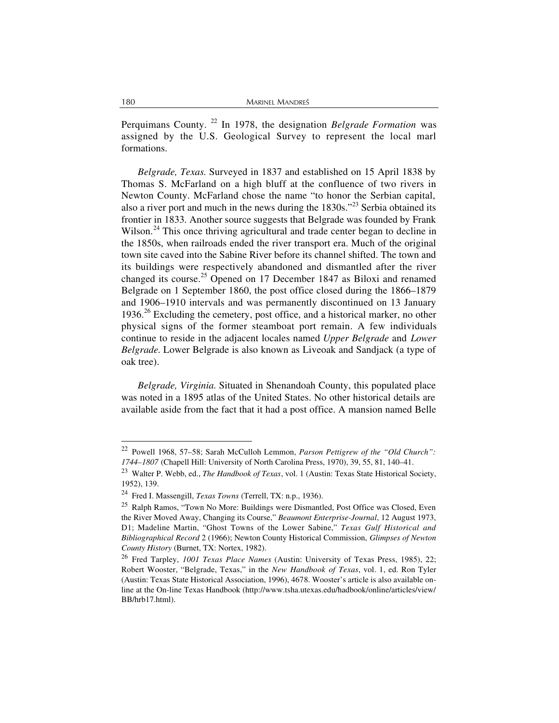Perquimans County. 22 In 1978, the designation *Belgrade Formation* was assigned by the U.S. Geological Survey to represent the local marl formations.

*Belgrade, Texas*. Surveyed in 1837 and established on 15 April 1838 by Thomas S. McFarland on a high bluff at the confluence of two rivers in Newton County. McFarland chose the name "to honor the Serbian capital, also a river port and much in the news during the  $1830s$ .<sup>23</sup> Serbia obtained its frontier in 1833. Another source suggests that Belgrade was founded by Frank Wilson.<sup>24</sup> This once thriving agricultural and trade center began to decline in the 1850s, when railroads ended the river transport era. Much of the original town site caved into the Sabine River before its channel shifted. The town and its buildings were respectively abandoned and dismantled after the river changed its course.<sup>25</sup> Opened on 17 December 1847 as Biloxi and renamed Belgrade on 1 September 1860, the post office closed during the 1866–1879 and 1906–1910 intervals and was permanently discontinued on 13 January 1936. $26$  Excluding the cemetery, post office, and a historical marker, no other physical signs of the former steamboat port remain. A few individuals continue to reside in the adjacent locales named *Upper Belgrade* and *Lower Belgrade*. Lower Belgrade is also known as Liveoak and Sandjack (a type of oak tree).

*Belgrade, Virginia*. Situated in Shenandoah County, this populated place was noted in a 1895 atlas of the United States. No other historical details are available aside from the fact that it had a post office. A mansion named Belle

<sup>22</sup> Powell 1968, 57–58; Sarah McCulloh Lemmon, *Parson Pettigrew of the "Old Church": 1744–1807* (Chapell Hill: University of North Carolina Press, 1970), 39, 55, 81, 140–41.

<sup>23</sup> Walter P. Webb, ed., *The Handbook of Texas*, vol. 1 (Austin: Texas State Historical Society, 1952), 139.

<sup>24</sup> Fred I. Massengill, *Texas Towns* (Terrell, TX: n.p., 1936).

<sup>&</sup>lt;sup>25</sup> Ralph Ramos, "Town No More: Buildings were Dismantled, Post Office was Closed, Even the River Moved Away, Changing its Course," *Beaumont Enterprise-Journal*, 12 August 1973, D1; Madeline Martin, "Ghost Towns of the Lower Sabine," *Texas Gulf Historical and Bibliographical Record* 2 (1966); Newton County Historical Commission, *Glimpses of Newton County History* (Burnet, TX: Nortex, 1982).

<sup>26</sup> Fred Tarpley, *1001 Texas Place Names* (Austin: University of Texas Press, 1985), 22; Robert Wooster, "Belgrade, Texas," in the *New Handbook of Texas*, vol. 1, ed. Ron Tyler (Austin: Texas State Historical Association, 1996), 4678. Wooster's article is also available online at the On-line Texas Handbook (http://www.tsha.utexas.edu/hadbook/online/articles/view/ BB/hrb17.html).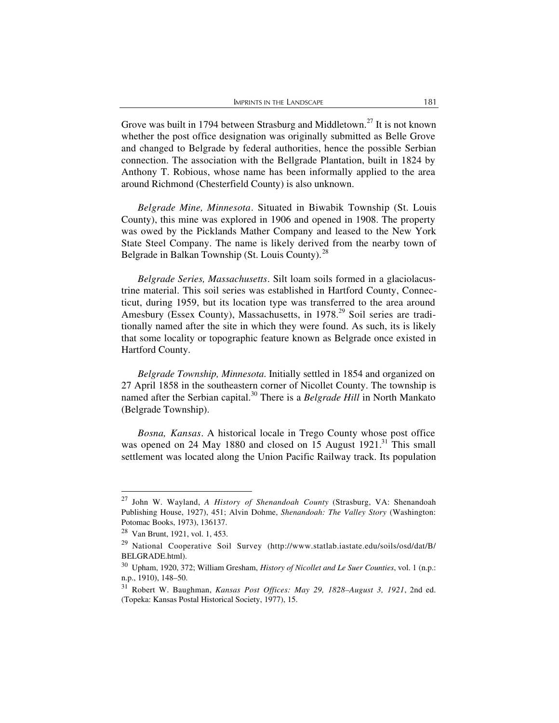Grove was built in 1794 between Strasburg and Middletown.<sup>27</sup> It is not known whether the post office designation was originally submitted as Belle Grove and changed to Belgrade by federal authorities, hence the possible Serbian connection. The association with the Bellgrade Plantation, built in 1824 by Anthony T. Robious, whose name has been informally applied to the area around Richmond (Chesterfield County) is also unknown.

*Belgrade Mine, Minnesota*. Situated in Biwabik Township (St. Louis County), this mine was explored in 1906 and opened in 1908. The property was owed by the Picklands Mather Company and leased to the New York State Steel Company. The name is likely derived from the nearby town of Belgrade in Balkan Township (St. Louis County).  $28$ 

*Belgrade Series, Massachusetts*. Silt loam soils formed in a glaciolacustrine material. This soil series was established in Hartford County, Connecticut, during 1959, but its location type was transferred to the area around Amesbury (Essex County), Massachusetts, in 1978.<sup>29</sup> Soil series are traditionally named after the site in which they were found. As such, its is likely that some locality or topographic feature known as Belgrade once existed in Hartford County.

*Belgrade Township, Minnesota*. Initially settled in 1854 and organized on 27 April 1858 in the southeastern corner of Nicollet County. The township is named after the Serbian capital.<sup>30</sup> There is a *Belgrade Hill* in North Mankato (Belgrade Township).

*Bosna, Kansas*. A historical locale in Trego County whose post office was opened on 24 May 1880 and closed on 15 August  $1921$ .<sup>31</sup> This small settlement was located along the Union Pacific Railway track. Its population

<sup>27</sup> John W. Wayland, *A History of Shenandoah County* (Strasburg, VA: Shenandoah Publishing House, 1927), 451; Alvin Dohme, *Shenandoah: The Valley Story* (Washington: Potomac Books, 1973), 136137.

<sup>28</sup> Van Brunt, 1921, vol. 1, 453.

<sup>29</sup> National Cooperative Soil Survey (http://www.statlab.iastate.edu/soils/osd/dat/B/ BELGRADE.html).

<sup>30</sup> Upham, 1920, 372; William Gresham, *History of Nicollet and Le Suer Counties*, vol. 1 (n.p.: n.p., 1910), 148–50.

<sup>31</sup> Robert W. Baughman, *Kansas Post Offices: May 29, 1828–August 3, 1921*, 2nd ed. (Topeka: Kansas Postal Historical Society, 1977), 15.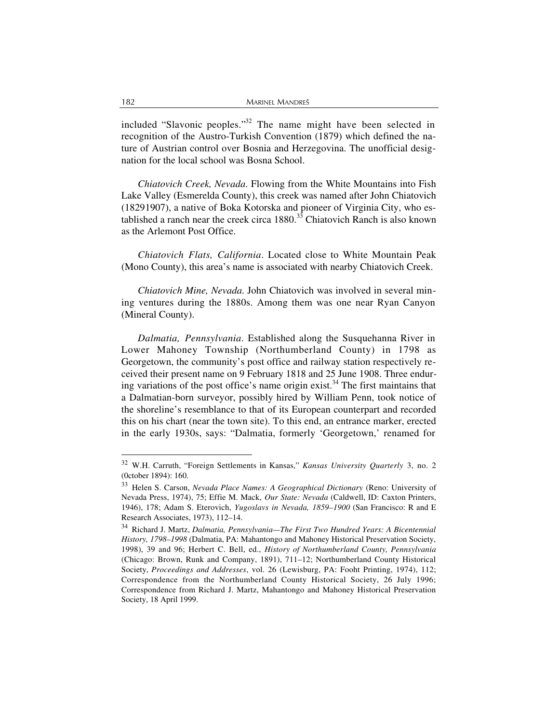included "Slavonic peoples."<sup>32</sup> The name might have been selected in recognition of the Austro-Turkish Convention (1879) which defined the nature of Austrian control over Bosnia and Herzegovina. The unofficial designation for the local school was Bosna School.

*Chiatovich Creek, Nevada*. Flowing from the White Mountains into Fish Lake Valley (Esmerelda County), this creek was named after John Chiatovich (18291907), a native of Boka Kotorska and pioneer of Virginia City, who established a ranch near the creek circa  $1880$ .<sup>33</sup> Chiatovich Ranch is also known as the Arlemont Post Office.

*Chiatovich Flats, California*. Located close to White Mountain Peak (Mono County), this area's name is associated with nearby Chiatovich Creek.

*Chiatovich Mine, Nevada*. John Chiatovich was involved in several mining ventures during the 1880s. Among them was one near Ryan Canyon (Mineral County).

*Dalmatia, Pennsylvania*. Established along the Susquehanna River in Lower Mahoney Township (Northumberland County) in 1798 as Georgetown, the community's post office and railway station respectively received their present name on 9 February 1818 and 25 June 1908. Three enduring variations of the post office's name origin exist.<sup>34</sup> The first maintains that a Dalmatian-born surveyor, possibly hired by William Penn, took notice of the shoreline's resemblance to that of its European counterpart and recorded this on his chart (near the town site). To this end, an entrance marker, erected in the early 1930s, says: "Dalmatia, formerly 'Georgetown,' renamed for

<sup>32</sup> W.H. Carruth, "Foreign Settlements in Kansas," *Kansas University Quarterly* 3, no. 2 (0ctober 1894): 160.

<sup>33</sup> Helen S. Carson, *Nevada Place Names: A Geographical Dictionary* (Reno: University of Nevada Press, 1974), 75; Effie M. Mack, *Our State: Nevada* (Caldwell, ID: Caxton Printers, 1946), 178; Adam S. Eterovich, *Yugoslavs in Nevada, 1859–1900* (San Francisco: R and E Research Associates, 1973), 112–14.

<sup>34</sup> Richard J. Martz, *Dalmatia, Pennsylvania—The First Two Hundred Years: A Bicentennial History, 1798–1998* (Dalmatia, PA: Mahantongo and Mahoney Historical Preservation Society, 1998), 39 and 96; Herbert C. Bell, ed., *History of Northumberland County, Pennsylvania* (Chicago: Brown, Runk and Company, 1891), 711–12; Northumberland County Historical Society, *Proceedings and Addresses*, vol. 26 (Lewisburg, PA: Fooht Printing, 1974), 112; Correspondence from the Northumberland County Historical Society, 26 July 1996; Correspondence from Richard J. Martz, Mahantongo and Mahoney Historical Preservation Society, 18 April 1999.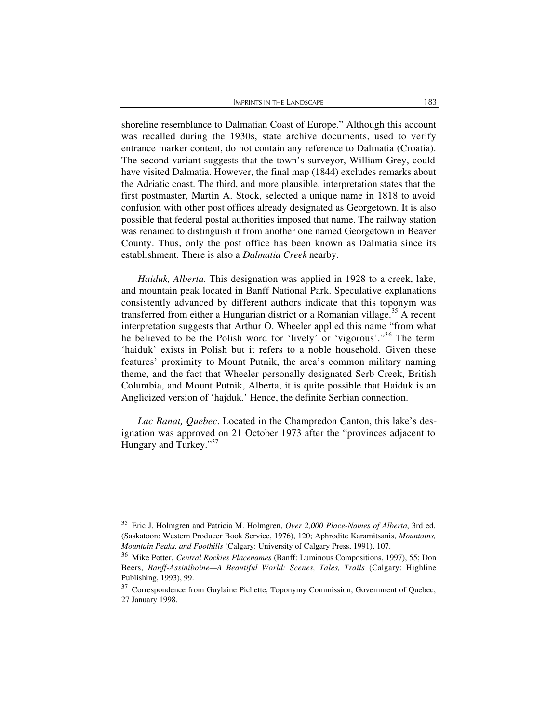shoreline resemblance to Dalmatian Coast of Europe." Although this account was recalled during the 1930s, state archive documents, used to verify entrance marker content, do not contain any reference to Dalmatia (Croatia). The second variant suggests that the town's surveyor, William Grey, could have visited Dalmatia. However, the final map (1844) excludes remarks about the Adriatic coast. The third, and more plausible, interpretation states that the first postmaster, Martin A. Stock, selected a unique name in 1818 to avoid confusion with other post offices already designated as Georgetown. It is also possible that federal postal authorities imposed that name. The railway station was renamed to distinguish it from another one named Georgetown in Beaver County. Thus, only the post office has been known as Dalmatia since its establishment. There is also a *Dalmatia Creek* nearby.

*Haiduk, Alberta*. This designation was applied in 1928 to a creek, lake, and mountain peak located in Banff National Park. Speculative explanations consistently advanced by different authors indicate that this toponym was transferred from either a Hungarian district or a Romanian village.<sup>35</sup> A recent interpretation suggests that Arthur O. Wheeler applied this name "from what he believed to be the Polish word for 'lively' or 'vigorous'."<sup>36</sup> The term 'haiduk' exists in Polish but it refers to a noble household. Given these features' proximity to Mount Putnik, the area's common military naming theme, and the fact that Wheeler personally designated Serb Creek, British Columbia, and Mount Putnik, Alberta, it is quite possible that Haiduk is an Anglicized version of 'hajduk.' Hence, the definite Serbian connection.

*Lac Banat, Quebec*. Located in the Champredon Canton, this lake's designation was approved on 21 October 1973 after the "provinces adjacent to Hungary and Turkey."<sup>37</sup>

<sup>35</sup> Eric J. Holmgren and Patricia M. Holmgren, *Over 2,000 Place-Names of Alberta*, 3rd ed. (Saskatoon: Western Producer Book Service, 1976), 120; Aphrodite Karamitsanis, *Mountains, Mountain Peaks, and Foothills* (Calgary: University of Calgary Press, 1991), 107.

<sup>36</sup> Mike Potter, *Central Rockies Placenames* (Banff: Luminous Compositions, 1997), 55; Don Beers, *Banff-Assiniboine—A Beautiful World: Scenes, Tales, Trails* (Calgary: Highline Publishing, 1993), 99.

 $37$  Correspondence from Guylaine Pichette, Toponymy Commission, Government of Quebec, 27 January 1998.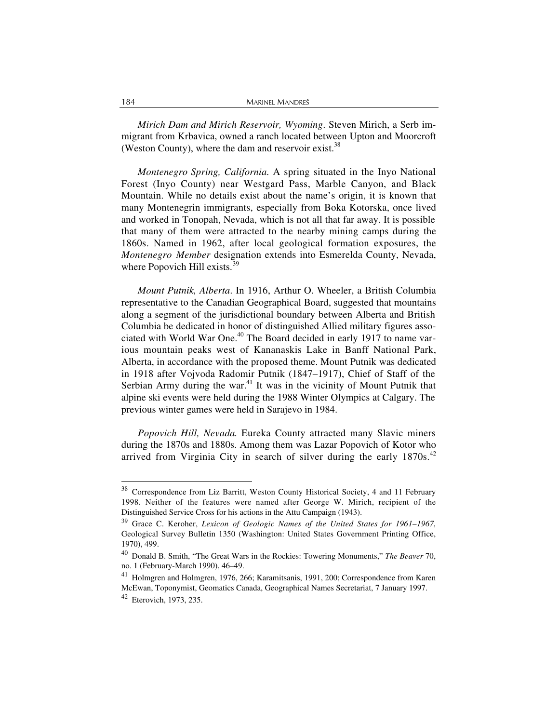*Mirich Dam and Mirich Reservoir, Wyoming*. Steven Mirich, a Serb immigrant from Krbavica, owned a ranch located between Upton and Moorcroft (Weston County), where the dam and reservoir exist. $38$ 

*Montenegro Spring, California*. A spring situated in the Inyo National Forest (Inyo County) near Westgard Pass, Marble Canyon, and Black Mountain. While no details exist about the name's origin, it is known that many Montenegrin immigrants, especially from Boka Kotorska, once lived and worked in Tonopah, Nevada, which is not all that far away. It is possible that many of them were attracted to the nearby mining camps during the 1860s. Named in 1962, after local geological formation exposures, the *Montenegro Member* designation extends into Esmerelda County, Nevada, where Popovich Hill exists.<sup>39</sup>

*Mount Putnik, Alberta*. In 1916, Arthur O. Wheeler, a British Columbia representative to the Canadian Geographical Board, suggested that mountains along a segment of the jurisdictional boundary between Alberta and British Columbia be dedicated in honor of distinguished Allied military figures associated with World War One.<sup>40</sup> The Board decided in early 1917 to name various mountain peaks west of Kananaskis Lake in Banff National Park, Alberta, in accordance with the proposed theme. Mount Putnik was dedicated in 1918 after Vojvoda Radomir Putnik (1847–1917), Chief of Staff of the Serbian Army during the war.<sup>41</sup> It was in the vicinity of Mount Putnik that alpine ski events were held during the 1988 Winter Olympics at Calgary. The previous winter games were held in Sarajevo in 1984.

*Popovich Hill, Nevada*. Eureka County attracted many Slavic miners during the 1870s and 1880s. Among them was Lazar Popovich of Kotor who arrived from Virginia City in search of silver during the early  $1870s$ .<sup>42</sup>

<sup>38</sup> Correspondence from Liz Barritt, Weston County Historical Society, 4 and 11 February 1998. Neither of the features were named after George W. Mirich, recipient of the Distinguished Service Cross for his actions in the Attu Campaign (1943).

<sup>39</sup> Grace C. Keroher, *Lexicon of Geologic Names of the United States for 1961–1967*, Geological Survey Bulletin 1350 (Washington: United States Government Printing Office, 1970), 499.

<sup>40</sup> Donald B. Smith, "The Great Wars in the Rockies: Towering Monuments," *The Beaver* 70, no. 1 (February-March 1990), 46–49.

<sup>41</sup> Holmgren and Holmgren, 1976, 266; Karamitsanis, 1991, 200; Correspondence from Karen McEwan, Toponymist, Geomatics Canada, Geographical Names Secretariat, 7 January 1997.

<sup>42</sup> Eterovich, 1973, 235.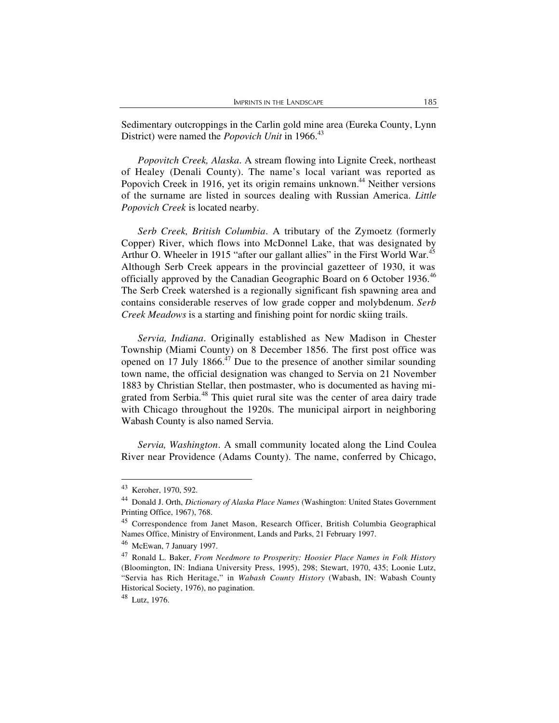Sedimentary outcroppings in the Carlin gold mine area (Eureka County, Lynn District) were named the *Popovich Unit* in 1966.<sup>43</sup>

*Popovitch Creek, Alaska*. A stream flowing into Lignite Creek, northeast of Healey (Denali County). The name's local variant was reported as Popovich Creek in 1916, yet its origin remains unknown.<sup>44</sup> Neither versions of the surname are listed in sources dealing with Russian America. *Little Popovich Creek* is located nearby.

*Serb Creek, British Columbia*. A tributary of the Zymoetz (formerly Copper) River, which flows into McDonnel Lake, that was designated by Arthur O. Wheeler in 1915 "after our gallant allies" in the First World War.<sup>45</sup> Although Serb Creek appears in the provincial gazetteer of 1930, it was officially approved by the Canadian Geographic Board on 6 October 1936.<sup>46</sup> The Serb Creek watershed is a regionally significant fish spawning area and contains considerable reserves of low grade copper and molybdenum. *Serb Creek Meadows* is a starting and finishing point for nordic skiing trails.

*Servia, Indiana*. Originally established as New Madison in Chester Township (Miami County) on 8 December 1856. The first post office was opened on 17 July 1866. $^{47}$  Due to the presence of another similar sounding town name, the official designation was changed to Servia on 21 November 1883 by Christian Stellar, then postmaster, who is documented as having migrated from Serbia.<sup>48</sup> This quiet rural site was the center of area dairy trade with Chicago throughout the 1920s. The municipal airport in neighboring Wabash County is also named Servia.

*Servia, Washington*. A small community located along the Lind Coulea River near Providence (Adams County). The name, conferred by Chicago,

<sup>43</sup> Keroher, 1970, 592.

<sup>44</sup> Donald J. Orth, *Dictionary of Alaska Place Names* (Washington: United States Government Printing Office, 1967), 768.

<sup>45</sup> Correspondence from Janet Mason, Research Officer, British Columbia Geographical Names Office, Ministry of Environment, Lands and Parks, 21 February 1997.

<sup>46</sup> McEwan, 7 January 1997.

<sup>47</sup> Ronald L. Baker, *From Needmore to Prosperity: Hoosier Place Names in Folk History* (Bloomington, IN: Indiana University Press, 1995), 298; Stewart, 1970, 435; Loonie Lutz, "Servia has Rich Heritage," in *Wabash County History* (Wabash, IN: Wabash County Historical Society, 1976), no pagination.

<sup>48</sup> Lutz, 1976.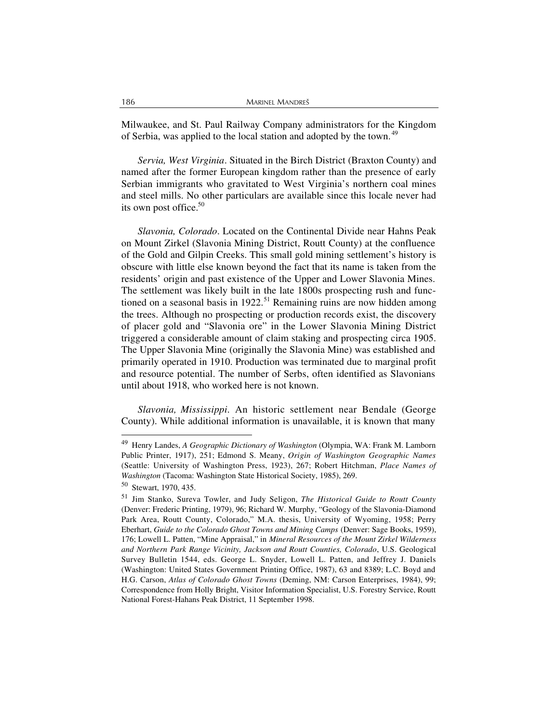Milwaukee, and St. Paul Railway Company administrators for the Kingdom of Serbia, was applied to the local station and adopted by the town.<sup>49</sup>

*Servia, West Virginia*. Situated in the Birch District (Braxton County) and named after the former European kingdom rather than the presence of early Serbian immigrants who gravitated to West Virginia's northern coal mines and steel mills. No other particulars are available since this locale never had its own post office.<sup>50</sup>

*Slavonia, Colorado*. Located on the Continental Divide near Hahns Peak on Mount Zirkel (Slavonia Mining District, Routt County) at the confluence of the Gold and Gilpin Creeks. This small gold mining settlement's history is obscure with little else known beyond the fact that its name is taken from the residents' origin and past existence of the Upper and Lower Slavonia Mines. The settlement was likely built in the late 1800s prospecting rush and functioned on a seasonal basis in 1922.<sup>51</sup> Remaining ruins are now hidden among the trees. Although no prospecting or production records exist, the discovery of placer gold and "Slavonia ore" in the Lower Slavonia Mining District triggered a considerable amount of claim staking and prospecting circa 1905. The Upper Slavonia Mine (originally the Slavonia Mine) was established and primarily operated in 1910. Production was terminated due to marginal profit and resource potential. The number of Serbs, often identified as Slavonians until about 1918, who worked here is not known.

*Slavonia, Mississippi*. An historic settlement near Bendale (George County). While additional information is unavailable, it is known that many

<sup>49</sup> Henry Landes, *A Geographic Dictionary of Washington* (Olympia, WA: Frank M. Lamborn Public Printer, 1917), 251; Edmond S. Meany, *Origin of Washington Geographic Names* (Seattle: University of Washington Press, 1923), 267; Robert Hitchman, *Place Names of Washington* (Tacoma: Washington State Historical Society, 1985), 269.

<sup>50</sup> Stewart, 1970, 435.

<sup>51</sup> Jim Stanko, Sureva Towler, and Judy Seligon, *The Historical Guide to Routt County* (Denver: Frederic Printing, 1979), 96; Richard W. Murphy, "Geology of the Slavonia-Diamond Park Area, Routt County, Colorado," M.A. thesis, University of Wyoming, 1958; Perry Eberhart, *Guide to the Colorado Ghost Towns and Mining Camps* (Denver: Sage Books, 1959), 176; Lowell L. Patten, "Mine Appraisal," in *Mineral Resources of the Mount Zirkel Wilderness and Northern Park Range Vicinity, Jackson and Routt Counties, Colorado*, U.S. Geological Survey Bulletin 1544, eds. George L. Snyder, Lowell L. Patten, and Jeffrey J. Daniels (Washington: United States Government Printing Office, 1987), 63 and 8389; L.C. Boyd and H.G. Carson, *Atlas of Colorado Ghost Towns* (Deming, NM: Carson Enterprises, 1984), 99; Correspondence from Holly Bright, Visitor Information Specialist, U.S. Forestry Service, Routt National Forest-Hahans Peak District, 11 September 1998.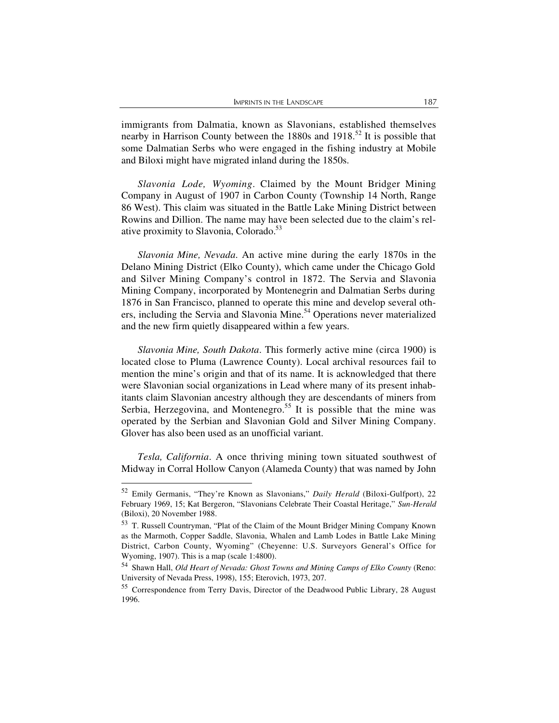immigrants from Dalmatia, known as Slavonians, established themselves nearby in Harrison County between the  $1880s$  and  $1918<sup>52</sup>$  It is possible that some Dalmatian Serbs who were engaged in the fishing industry at Mobile and Biloxi might have migrated inland during the 1850s.

*Slavonia Lode, Wyoming*. Claimed by the Mount Bridger Mining Company in August of 1907 in Carbon County (Township 14 North, Range 86 West). This claim was situated in the Battle Lake Mining District between Rowins and Dillion. The name may have been selected due to the claim's relative proximity to Slavonia, Colorado.<sup>53</sup>

*Slavonia Mine, Nevada*. An active mine during the early 1870s in the Delano Mining District (Elko County), which came under the Chicago Gold and Silver Mining Company's control in 1872. The Servia and Slavonia Mining Company, incorporated by Montenegrin and Dalmatian Serbs during 1876 in San Francisco, planned to operate this mine and develop several others, including the Servia and Slavonia Mine.<sup>54</sup> Operations never materialized and the new firm quietly disappeared within a few years.

*Slavonia Mine, South Dakota*. This formerly active mine (circa 1900) is located close to Pluma (Lawrence County). Local archival resources fail to mention the mine's origin and that of its name. It is acknowledged that there were Slavonian social organizations in Lead where many of its present inhabitants claim Slavonian ancestry although they are descendants of miners from Serbia, Herzegovina, and Montenegro.<sup>55</sup> It is possible that the mine was operated by the Serbian and Slavonian Gold and Silver Mining Company. Glover has also been used as an unofficial variant.

*Tesla, California*. A once thriving mining town situated southwest of Midway in Corral Hollow Canyon (Alameda County) that was named by John

<sup>52</sup> Emily Germanis, "They're Known as Slavonians," *Daily Herald* (Biloxi-Gulfport), 22 February 1969, 15; Kat Bergeron, "Slavonians Celebrate Their Coastal Heritage," *Sun-Herald* (Biloxi), 20 November 1988.

<sup>53</sup> T. Russell Countryman, "Plat of the Claim of the Mount Bridger Mining Company Known as the Marmoth, Copper Saddle, Slavonia, Whalen and Lamb Lodes in Battle Lake Mining District, Carbon County, Wyoming" (Cheyenne: U.S. Surveyors General's Office for Wyoming, 1907). This is a map (scale 1:4800).

<sup>54</sup> Shawn Hall, *Old Heart of Nevada: Ghost Towns and Mining Camps of Elko County* (Reno: University of Nevada Press, 1998), 155; Eterovich, 1973, 207.

<sup>55</sup> Correspondence from Terry Davis, Director of the Deadwood Public Library, 28 August 1996.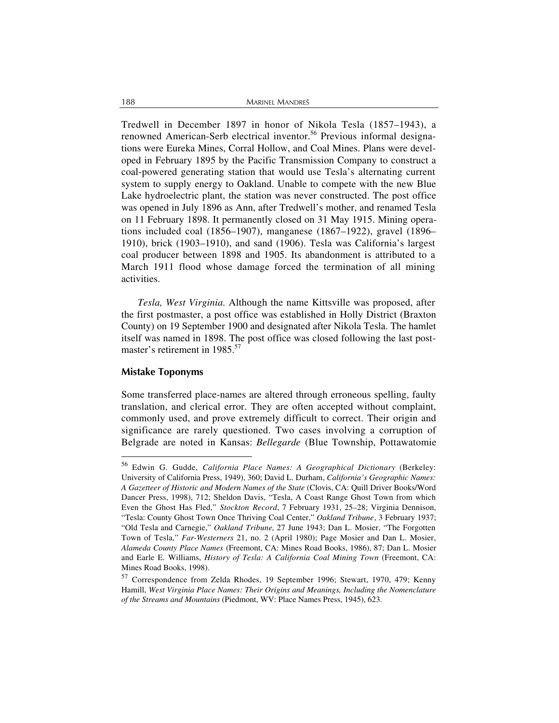Tredwell in December 1897 in honor of Nikola Tesla (1857–1943), a renowned American-Serb electrical inventor.<sup>56</sup> Previous informal designations were Eureka Mines, Corral Hollow, and Coal Mines. Plans were developed in February 1895 by the Pacific Transmission Company to construct a coal-powered generating station that would use Tesla's alternating current system to supply energy to Oakland. Unable to compete with the new Blue Lake hydroelectric plant, the station was never constructed. The post office was opened in July 1896 as Ann, after Tredwell's mother, and renamed Tesla on 11 February 1898. It permanently closed on 31 May 1915. Mining operations included coal (1856–1907), manganese (1867–1922), gravel (1896– 1910), brick (1903–1910), and sand (1906). Tesla was California's largest coal producer between 1898 and 1905. Its abandonment is attributed to a March 1911 flood whose damage forced the termination of all mining activities.

*Tesla, West Virginia*. Although the name Kittsville was proposed, after the first postmaster, a post office was established in Holly District (Braxton County) on 19 September 1900 and designated after Nikola Tesla. The hamlet itself was named in 1898. The post office was closed following the last postmaster's retirement in 1985.<sup>57</sup>

## **Mistake Toponyms**

Some transferred place-names are altered through erroneous spelling, faulty translation, and clerical error. They are often accepted without complaint, commonly used, and prove extremely difficult to correct. Their origin and significance are rarely questioned. Two cases involving a corruption of Belgrade are noted in Kansas: *Bellegarde* (Blue Township, Pottawatomie

<sup>56</sup> Edwin G. Gudde, *California Place Names: A Geographical Dictionary* (Berkeley: University of California Press, 1949), 360; David L. Durham, *California's Geographic Names: A Gazetteer of Historic and Modern Names of the State* (Clovis, CA: Quill Driver Books/Word Dancer Press, 1998), 712; Sheldon Davis, "Tesla, A Coast Range Ghost Town from which Even the Ghost Has Fled," *Stockton Record*, 7 February 1931, 25–28; Virginia Dennison, "Tesla: County Ghost Town Once Thriving Coal Center," *Oakland Tribune*, 3 February 1937; "Old Tesla and Carnegie," *Oakland Tribune*, 27 June 1943; Dan L. Mosier, "The Forgotten Town of Tesla," *Far-Westerners* 21, no. 2 (April 1980); Page Mosier and Dan L. Mosier, *Alameda County Place Names* (Freemont, CA: Mines Road Books, 1986), 87; Dan L. Mosier and Earle E. Williams, *History of Tesla: A California Coal Mining Town* (Freemont, CA: Mines Road Books, 1998).

<sup>57</sup> Correspondence from Zelda Rhodes, 19 September 1996; Stewart, 1970, 479; Kenny Hamill, *West Virginia Place Names: Their Origins and Meanings, Including the Nomenclature of the Streams and Mountains* (Piedmont, WV: Place Names Press, 1945), 623.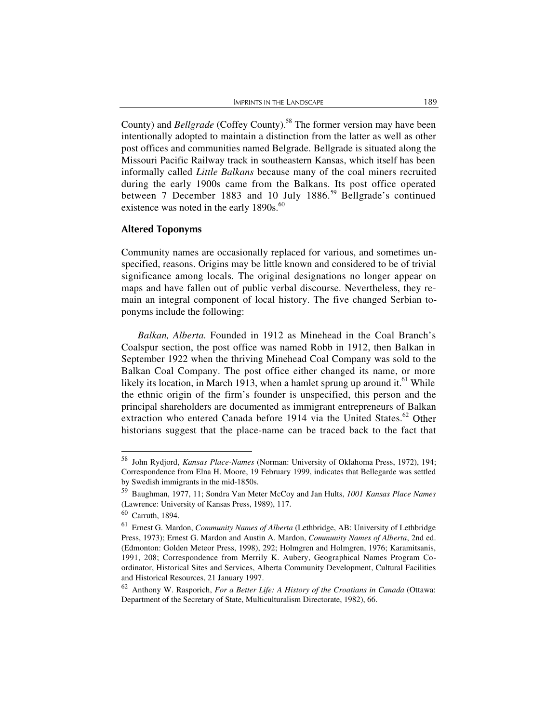County) and *Bellgrade* (Coffey County).<sup>58</sup> The former version may have been intentionally adopted to maintain a distinction from the latter as well as other post offices and communities named Belgrade. Bellgrade is situated along the Missouri Pacific Railway track in southeastern Kansas, which itself has been informally called *Little Balkans* because many of the coal miners recruited during the early 1900s came from the Balkans. Its post office operated between 7 December 1883 and 10 July 1886.<sup>59</sup> Bellgrade's continued existence was noted in the early 1890s.<sup>60</sup>

#### **Altered Toponyms**

Community names are occasionally replaced for various, and sometimes unspecified, reasons. Origins may be little known and considered to be of trivial significance among locals. The original designations no longer appear on maps and have fallen out of public verbal discourse. Nevertheless, they remain an integral component of local history. The five changed Serbian toponyms include the following:

*Balkan, Alberta*. Founded in 1912 as Minehead in the Coal Branch's Coalspur section, the post office was named Robb in 1912, then Balkan in September 1922 when the thriving Minehead Coal Company was sold to the Balkan Coal Company. The post office either changed its name, or more likely its location, in March 1913, when a hamlet sprung up around it.<sup>61</sup> While the ethnic origin of the firm's founder is unspecified, this person and the principal shareholders are documented as immigrant entrepreneurs of Balkan extraction who entered Canada before 1914 via the United States.<sup>62</sup> Other historians suggest that the place-name can be traced back to the fact that

<sup>58</sup> John Rydjord, *Kansas Place-Names* (Norman: University of Oklahoma Press, 1972), 194; Correspondence from Elna H. Moore, 19 February 1999, indicates that Bellegarde was settled by Swedish immigrants in the mid-1850s.

<sup>59</sup> Baughman, 1977, 11; Sondra Van Meter McCoy and Jan Hults, *1001 Kansas Place Names* (Lawrence: University of Kansas Press, 1989), 117.

<sup>60</sup> Carruth, 1894.

<sup>61</sup> Ernest G. Mardon, *Community Names of Alberta* (Lethbridge, AB: University of Lethbridge Press, 1973); Ernest G. Mardon and Austin A. Mardon, *Community Names of Alberta*, 2nd ed. (Edmonton: Golden Meteor Press, 1998), 292; Holmgren and Holmgren, 1976; Karamitsanis, 1991, 208; Correspondence from Merrily K. Aubery, Geographical Names Program Coordinator, Historical Sites and Services, Alberta Community Development, Cultural Facilities and Historical Resources, 21 January 1997.

<sup>62</sup> Anthony W. Rasporich, *For a Better Life: A History of the Croatians in Canada* (Ottawa: Department of the Secretary of State, Multiculturalism Directorate, 1982), 66.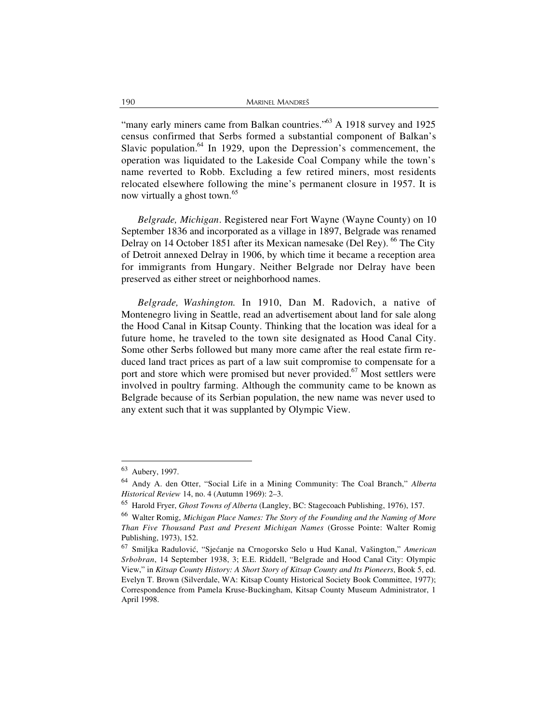"many early miners came from Balkan countries."<sup>63</sup> A 1918 survey and 1925 census confirmed that Serbs formed a substantial component of Balkan's Slavic population. $64$  In 1929, upon the Depression's commencement, the operation was liquidated to the Lakeside Coal Company while the town's name reverted to Robb. Excluding a few retired miners, most residents relocated elsewhere following the mine's permanent closure in 1957. It is now virtually a ghost town.<sup>65</sup>

*Belgrade, Michigan*. Registered near Fort Wayne (Wayne County) on 10 September 1836 and incorporated as a village in 1897, Belgrade was renamed Delray on 14 October 1851 after its Mexican namesake (Del Rey). <sup>66</sup> The City of Detroit annexed Delray in 1906, by which time it became a reception area for immigrants from Hungary. Neither Belgrade nor Delray have been preserved as either street or neighborhood names.

*Belgrade, Washington*. In 1910, Dan M. Radovich, a native of Montenegro living in Seattle, read an advertisement about land for sale along the Hood Canal in Kitsap County. Thinking that the location was ideal for a future home, he traveled to the town site designated as Hood Canal City. Some other Serbs followed but many more came after the real estate firm reduced land tract prices as part of a law suit compromise to compensate for a port and store which were promised but never provided.<sup>67</sup> Most settlers were involved in poultry farming. Although the community came to be known as Belgrade because of its Serbian population, the new name was never used to any extent such that it was supplanted by Olympic View.

<sup>63</sup> Aubery, 1997.

<sup>64</sup> Andy A. den Otter, "Social Life in a Mining Community: The Coal Branch," *Alberta Historical Review* 14, no. 4 (Autumn 1969): 2–3.

<sup>65</sup> Harold Fryer, *Ghost Towns of Alberta* (Langley, BC: Stagecoach Publishing, 1976), 157.

<sup>66</sup> Walter Romig, *Michigan Place Names: The Story of the Founding and the Naming of More Than Five Thousand Past and Present Michigan Names* (Grosse Pointe: Walter Romig Publishing, 1973), 152.

<sup>67</sup> Smiljka Raduloviç, "Sjeçanje na Crnogorsko Selo u Hud Kanal, Va‰ington," *American Srbobran*, 14 September 1938, 3; E.E. Riddell, "Belgrade and Hood Canal City: Olympic View," in *Kitsap County History: A Short Story of Kitsap County and Its Pioneers*, Book 5, ed. Evelyn T. Brown (Silverdale, WA: Kitsap County Historical Society Book Committee, 1977); Correspondence from Pamela Kruse-Buckingham, Kitsap County Museum Administrator, 1 April 1998.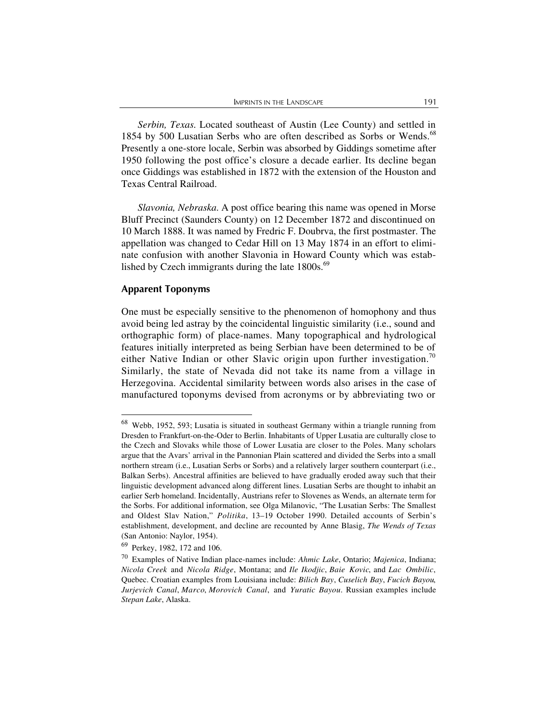*Serbin, Texas*. Located southeast of Austin (Lee County) and settled in 1854 by 500 Lusatian Serbs who are often described as Sorbs or Wends.<sup>68</sup> Presently a one-store locale, Serbin was absorbed by Giddings sometime after 1950 following the post office's closure a decade earlier. Its decline began once Giddings was established in 1872 with the extension of the Houston and Texas Central Railroad.

*Slavonia, Nebraska*. A post office bearing this name was opened in Morse Bluff Precinct (Saunders County) on 12 December 1872 and discontinued on 10 March 1888. It was named by Fredric F. Doubrva, the first postmaster. The appellation was changed to Cedar Hill on 13 May 1874 in an effort to eliminate confusion with another Slavonia in Howard County which was established by Czech immigrants during the late  $1800s^{69}$ .

## **Apparent Toponyms**

One must be especially sensitive to the phenomenon of homophony and thus avoid being led astray by the coincidental linguistic similarity (i.e., sound and orthographic form) of place-names. Many topographical and hydrological features initially interpreted as being Serbian have been determined to be of either Native Indian or other Slavic origin upon further investigation.<sup>70</sup> Similarly, the state of Nevada did not take its name from a village in Herzegovina. Accidental similarity between words also arises in the case of manufactured toponyms devised from acronyms or by abbreviating two or

<sup>68</sup> Webb, 1952, 593; Lusatia is situated in southeast Germany within a triangle running from Dresden to Frankfurt-on-the-Oder to Berlin. Inhabitants of Upper Lusatia are culturally close to the Czech and Slovaks while those of Lower Lusatia are closer to the Poles. Many scholars argue that the Avars' arrival in the Pannonian Plain scattered and divided the Serbs into a small northern stream (i.e., Lusatian Serbs or Sorbs) and a relatively larger southern counterpart (i.e., Balkan Serbs). Ancestral affinities are believed to have gradually eroded away such that their linguistic development advanced along different lines. Lusatian Serbs are thought to inhabit an earlier Serb homeland. Incidentally, Austrians refer to Slovenes as Wends, an alternate term for the Sorbs. For additional information, see Olga Milanovic, "The Lusatian Serbs: The Smallest and Oldest Slav Nation," *Politika*, 13–19 October 1990. Detailed accounts of Serbin's establishment, development, and decline are recounted by Anne Blasig, *The Wends of Texas* (San Antonio: Naylor, 1954).

<sup>69</sup> Perkey, 1982, 172 and 106.

<sup>70</sup> Examples of Native Indian place-names include: *Ahmic Lake*, Ontario; *Majenica*, Indiana; *Nicola Creek* and *Nicola Ridge*, Montana; and *Ile Ikodjic*, *Baie Kovic*, and *Lac Ombilic*, Quebec. Croatian examples from Louisiana include: *Bilich Bay*, *Cuselich Bay*, *Fucich Bayou*, *Jurjevich Canal*, *Marco*, *Morovich Canal*, and *Yuratic Bayou*. Russian examples include *Stepan Lake*, Alaska.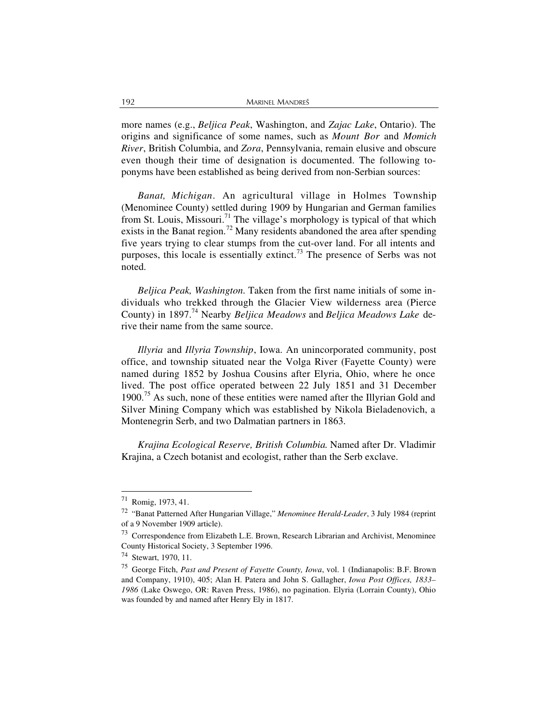more names (e.g., *Beljica Peak*, Washington, and *Zajac Lake*, Ontario). The origins and significance of some names, such as *Mount Bor* and *Momich River*, British Columbia, and *Zora*, Pennsylvania, remain elusive and obscure even though their time of designation is documented. The following toponyms have been established as being derived from non-Serbian sources:

*Banat, Michigan*. An agricultural village in Holmes Township (Menominee County) settled during 1909 by Hungarian and German families from St. Louis, Missouri.<sup>71</sup> The village's morphology is typical of that which exists in the Banat region.<sup>72</sup> Many residents abandoned the area after spending five years trying to clear stumps from the cut-over land. For all intents and purposes, this locale is essentially extinct.<sup>73</sup> The presence of Serbs was not noted.

*Beljica Peak, Washington*. Taken from the first name initials of some individuals who trekked through the Glacier View wilderness area (Pierce County) in 1897.<sup>74</sup> Nearby *Beljica Meadows* and *Beljica Meadows Lake* derive their name from the same source.

*Illyria* and *Illyria Township*, Iowa. An unincorporated community, post office, and township situated near the Volga River (Fayette County) were named during 1852 by Joshua Cousins after Elyria, Ohio, where he once lived. The post office operated between 22 July 1851 and 31 December 1900.<sup>75</sup> As such, none of these entities were named after the Illyrian Gold and Silver Mining Company which was established by Nikola Bieladenovich, a Montenegrin Serb, and two Dalmatian partners in 1863.

*Krajina Ecological Reserve, British Columbia*. Named after Dr. Vladimir Krajina, a Czech botanist and ecologist, rather than the Serb exclave.

<sup>71</sup> Romig, 1973, 41.

<sup>72 &</sup>quot;Banat Patterned After Hungarian Village," *Menominee Herald-Leader*, 3 July 1984 (reprint of a 9 November 1909 article).

<sup>&</sup>lt;sup>73</sup> Correspondence from Elizabeth L.E. Brown, Research Librarian and Archivist, Menominee County Historical Society, 3 September 1996.

<sup>74</sup> Stewart, 1970, 11.

<sup>75</sup> George Fitch, *Past and Present of Fayette County, Iowa*, vol. 1 (Indianapolis: B.F. Brown and Company, 1910), 405; Alan H. Patera and John S. Gallagher, *Iowa Post Offices, 1833– 1986* (Lake Oswego, OR: Raven Press, 1986), no pagination. Elyria (Lorrain County), Ohio was founded by and named after Henry Ely in 1817.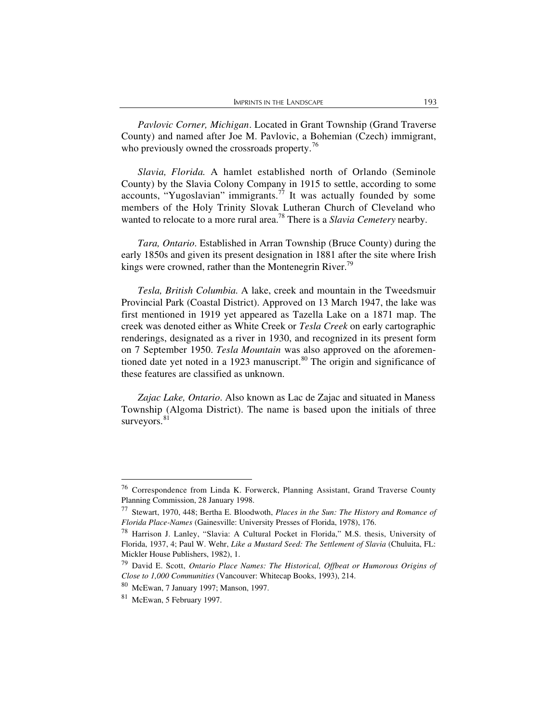*Pavlovic Corner, Michigan*. Located in Grant Township (Grand Traverse County) and named after Joe M. Pavlovic, a Bohemian (Czech) immigrant, who previously owned the crossroads property.<sup>76</sup>

*Slavia, Florida*. A hamlet established north of Orlando (Seminole County) by the Slavia Colony Company in 1915 to settle, according to some accounts, "Yugoslavian" immigrants.<sup>77</sup> It was actually founded by some members of the Holy Trinity Slovak Lutheran Church of Cleveland who wanted to relocate to a more rural area.78 There is a *Slavia Cemetery* nearby.

*Tara, Ontario*. Established in Arran Township (Bruce County) during the early 1850s and given its present designation in 1881 after the site where Irish kings were crowned, rather than the Montenegrin River.<sup>79</sup>

*Tesla, British Columbia*. A lake, creek and mountain in the Tweedsmuir Provincial Park (Coastal District). Approved on 13 March 1947, the lake was first mentioned in 1919 yet appeared as Tazella Lake on a 1871 map. The creek was denoted either as White Creek or *Tesla Creek* on early cartographic renderings, designated as a river in 1930, and recognized in its present form on 7 September 1950. *Tesla Mountain* was also approved on the aforementioned date yet noted in a 1923 manuscript. $80$  The origin and significance of these features are classified as unknown.

*Zajac Lake, Ontario*. Also known as Lac de Zajac and situated in Maness Township (Algoma District). The name is based upon the initials of three surveyors.<sup>81</sup>

<sup>76</sup> Correspondence from Linda K. Forwerck, Planning Assistant, Grand Traverse County Planning Commission, 28 January 1998.

<sup>77</sup> Stewart, 1970, 448; Bertha E. Bloodwoth, *Places in the Sun: The History and Romance of Florida Place-Names* (Gainesville: University Presses of Florida, 1978), 176.

<sup>78</sup> Harrison J. Lanley, "Slavia: A Cultural Pocket in Florida," M.S. thesis, University of Florida, 1937, 4; Paul W. Wehr, *Like a Mustard Seed: The Settlement of Slavia* (Chuluita, FL: Mickler House Publishers, 1982), 1.

<sup>79</sup> David E. Scott, *Ontario Place Names: The Historical, Offbeat or Humorous Origins of Close to 1,000 Communities* (Vancouver: Whitecap Books, 1993), 214.

<sup>80</sup> McEwan, 7 January 1997; Manson, 1997.

<sup>81</sup> McEwan, 5 February 1997.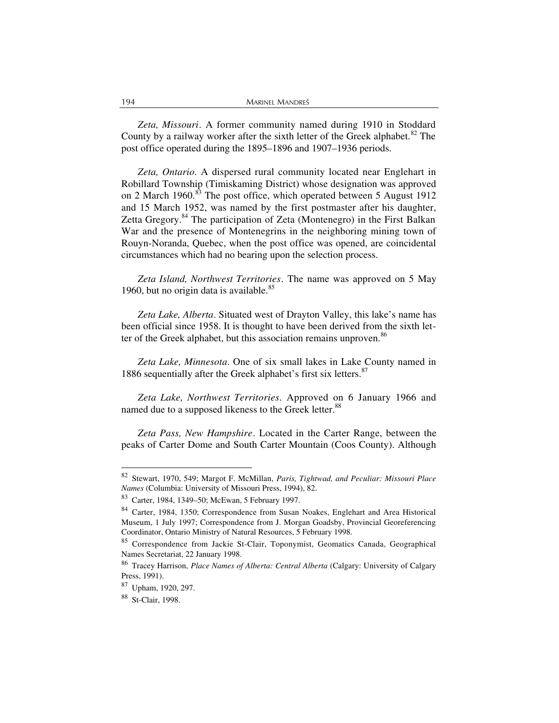*Zeta, Missouri*. A former community named during 1910 in Stoddard County by a railway worker after the sixth letter of the Greek alphabet.<sup>82</sup> The post office operated during the 1895–1896 and 1907–1936 periods.

*Zeta, Ontario*. A dispersed rural community located near Englehart in Robillard Township (Timiskaming District) whose designation was approved on 2 March 1960.<sup>83</sup> The post office, which operated between 5 August 1912 and 15 March 1952, was named by the first postmaster after his daughter, Zetta Gregory.<sup>84</sup> The participation of Zeta (Montenegro) in the First Balkan War and the presence of Montenegrins in the neighboring mining town of Rouyn-Noranda, Quebec, when the post office was opened, are coincidental circumstances which had no bearing upon the selection process.

*Zeta Island, Northwest Territories*. The name was approved on 5 May 1960, but no origin data is available. $85$ 

*Zeta Lake, Alberta*. Situated west of Drayton Valley, this lake's name has been official since 1958. It is thought to have been derived from the sixth letter of the Greek alphabet, but this association remains unproven.<sup>86</sup>

*Zeta Lake, Minnesota*. One of six small lakes in Lake County named in 1886 sequentially after the Greek alphabet's first six letters.<sup>87</sup>

*Zeta Lake, Northwest Territories*. Approved on 6 January 1966 and named due to a supposed likeness to the Greek letter.<sup>88</sup>

*Zeta Pass, New Hampshire*. Located in the Carter Range, between the peaks of Carter Dome and South Carter Mountain (Coos County). Although

<sup>82</sup> Stewart, 1970, 549; Margot F. McMillan, *Paris, Tightwad, and Peculiar: Missouri Place Names* (Columbia: University of Missouri Press, 1994), 82.

<sup>83</sup> Carter, 1984, 1349–50; McEwan, 5 February 1997.

<sup>84</sup> Carter, 1984, 1350; Correspondence from Susan Noakes, Englehart and Area Historical Museum, 1 July 1997; Correspondence from J. Morgan Goadsby, Provincial Georeferencing Coordinator, Ontario Ministry of Natural Resources, 5 February 1998.

<sup>85</sup> Correspondence from Jackie St-Clair, Toponymist, Geomatics Canada, Geographical Names Secretariat, 22 January 1998.

<sup>86</sup> Tracey Harrison, *Place Names of Alberta: Central Alberta* (Calgary: University of Calgary Press, 1991).

<sup>87</sup> Upham, 1920, 297.

<sup>88</sup> St-Clair, 1998.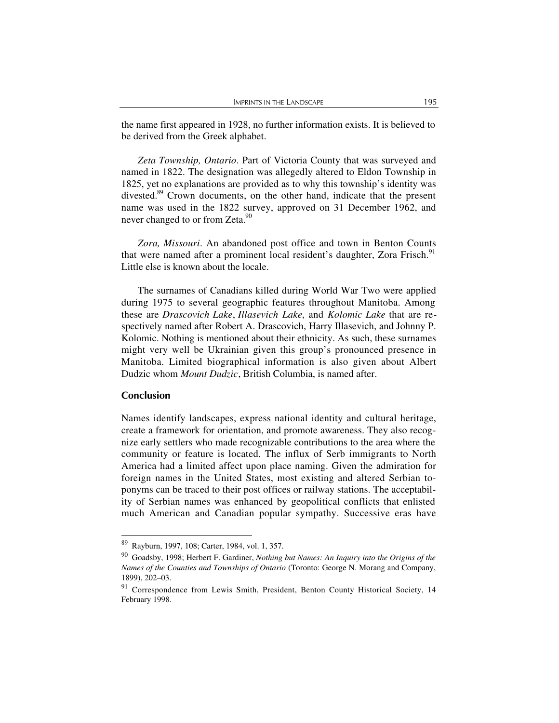the name first appeared in 1928, no further information exists. It is believed to be derived from the Greek alphabet.

*Zeta Township, Ontario*. Part of Victoria County that was surveyed and named in 1822. The designation was allegedly altered to Eldon Township in 1825, yet no explanations are provided as to why this township's identity was divested.<sup>89</sup> Crown documents, on the other hand, indicate that the present name was used in the 1822 survey, approved on 31 December 1962, and never changed to or from Zeta.<sup>90</sup>

*Zora, Missouri*. An abandoned post office and town in Benton Counts that were named after a prominent local resident's daughter, Zora Frisch.<sup>91</sup> Little else is known about the locale.

The surnames of Canadians killed during World War Two were applied during 1975 to several geographic features throughout Manitoba. Among these are *Drascovich Lake*, *Illasevich Lake*, and *Kolomic Lake* that are respectively named after Robert A. Drascovich, Harry Illasevich, and Johnny P. Kolomic. Nothing is mentioned about their ethnicity. As such, these surnames might very well be Ukrainian given this group's pronounced presence in Manitoba. Limited biographical information is also given about Albert Dudzic whom *Mount Dudzic*, British Columbia, is named after.

#### **Conclusion**

Names identify landscapes, express national identity and cultural heritage, create a framework for orientation, and promote awareness. They also recognize early settlers who made recognizable contributions to the area where the community or feature is located. The influx of Serb immigrants to North America had a limited affect upon place naming. Given the admiration for foreign names in the United States, most existing and altered Serbian toponyms can be traced to their post offices or railway stations. The acceptability of Serbian names was enhanced by geopolitical conflicts that enlisted much American and Canadian popular sympathy. Successive eras have

<sup>89</sup> Rayburn, 1997, 108; Carter, 1984, vol. 1, 357.

<sup>90</sup> Goadsby, 1998; Herbert F. Gardiner, *Nothing but Names: An Inquiry into the Origins of the Names of the Counties and Townships of Ontario* (Toronto: George N. Morang and Company, 1899), 202–03.

<sup>&</sup>lt;sup>91</sup> Correspondence from Lewis Smith, President, Benton County Historical Society, 14 February 1998.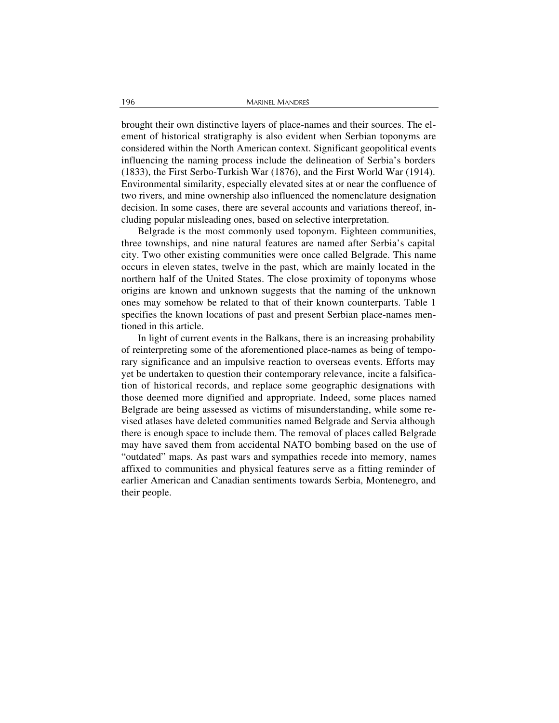brought their own distinctive layers of place-names and their sources. The element of historical stratigraphy is also evident when Serbian toponyms are considered within the North American context. Significant geopolitical events influencing the naming process include the delineation of Serbia's borders (1833), the First Serbo-Turkish War (1876), and the First World War (1914). Environmental similarity, especially elevated sites at or near the confluence of two rivers, and mine ownership also influenced the nomenclature designation decision. In some cases, there are several accounts and variations thereof, including popular misleading ones, based on selective interpretation.

Belgrade is the most commonly used toponym. Eighteen communities, three townships, and nine natural features are named after Serbia's capital city. Two other existing communities were once called Belgrade. This name occurs in eleven states, twelve in the past, which are mainly located in the northern half of the United States. The close proximity of toponyms whose origins are known and unknown suggests that the naming of the unknown ones may somehow be related to that of their known counterparts. Table 1 specifies the known locations of past and present Serbian place-names mentioned in this article.

In light of current events in the Balkans, there is an increasing probability of reinterpreting some of the aforementioned place-names as being of temporary significance and an impulsive reaction to overseas events. Efforts may yet be undertaken to question their contemporary relevance, incite a falsification of historical records, and replace some geographic designations with those deemed more dignified and appropriate. Indeed, some places named Belgrade are being assessed as victims of misunderstanding, while some revised atlases have deleted communities named Belgrade and Servia although there is enough space to include them. The removal of places called Belgrade may have saved them from accidental NATO bombing based on the use of "outdated" maps. As past wars and sympathies recede into memory, names affixed to communities and physical features serve as a fitting reminder of earlier American and Canadian sentiments towards Serbia, Montenegro, and their people.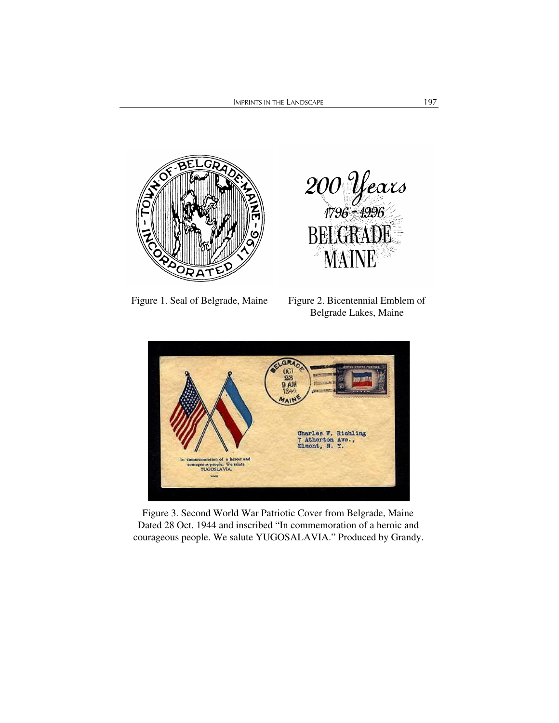



Figure 1. Seal of Belgrade, Maine Figure 2. Bicentennial Emblem of

Belgrade Lakes, Maine



Figure 3. Second World War Patriotic Cover from Belgrade, Maine Dated 28 Oct. 1944 and inscribed "In commemoration of a heroic and courageous people. We salute YUGOSALAVIA." Produced by Grandy.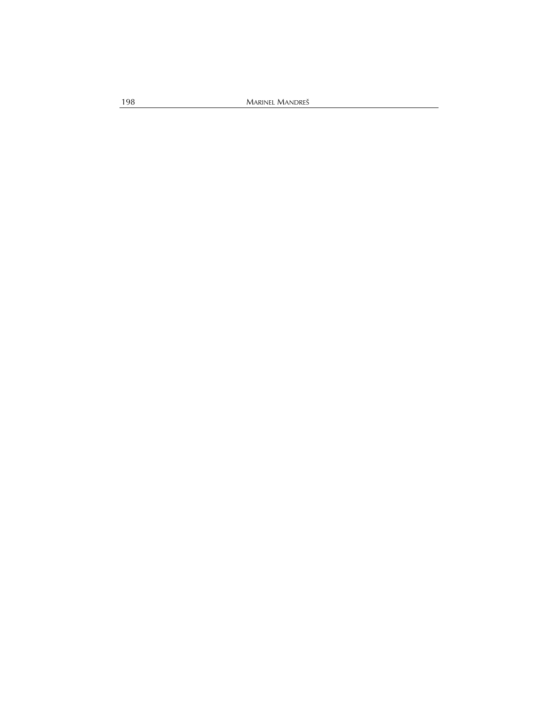198 MARINEL MANDREŠ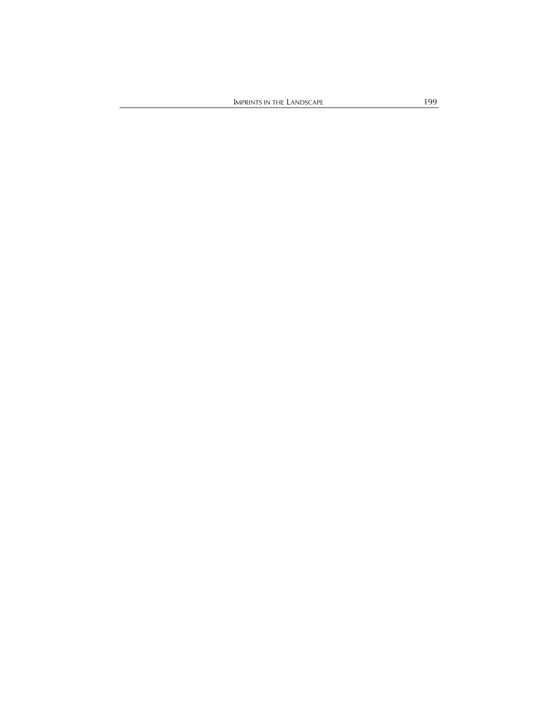IMPRINTS IN THE LANDSCAPE 199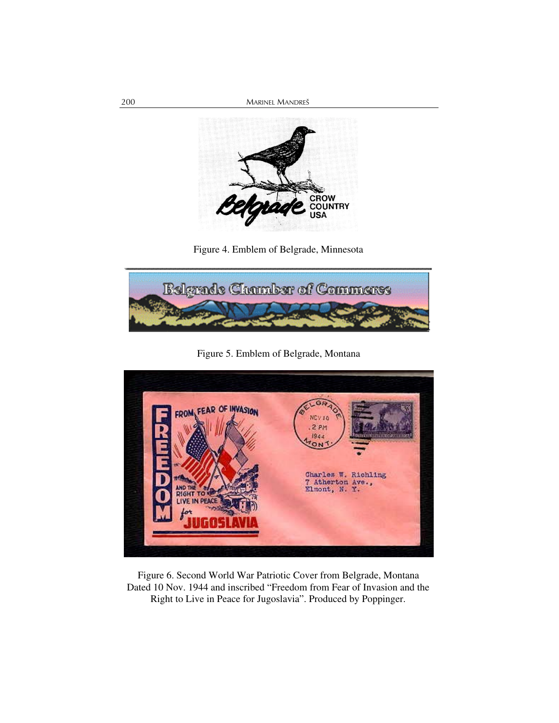200 MARINEL MANDREŠ



Figure 4. Emblem of Belgrade, Minnesota



Figure 5. Emblem of Belgrade, Montana



Figure 6. Second World War Patriotic Cover from Belgrade, Montana Dated 10 Nov. 1944 and inscribed "Freedom from Fear of Invasion and the Right to Live in Peace for Jugoslavia". Produced by Poppinger.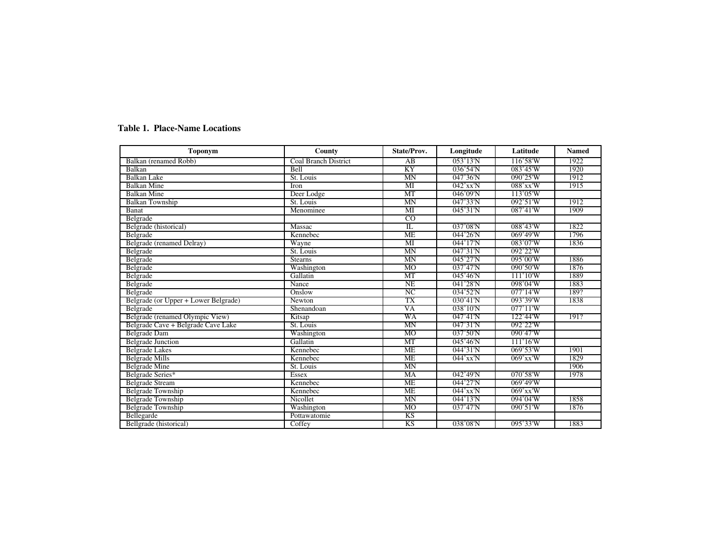| <b>Toponym</b>                       | County               | <b>State/Prov.</b>     | Longitude                     | Latitude          | <b>Named</b> |
|--------------------------------------|----------------------|------------------------|-------------------------------|-------------------|--------------|
| Balkan (renamed Robb)                | Coal Branch District | AB                     | $053^\circ13'$ N              | $116^{\circ}58'W$ | 1922         |
| Balkan                               | Bell                 | KY                     | $036^{\circ}54'$ N            | 083°45'W          | 1920         |
| <b>Balkan Lake</b>                   | St. Louis            | MN                     | $047^{\circ}36'$ N            | 090°25'W          | 1912         |
| <b>Balkan Mine</b>                   | <b>Iron</b>          | $\overline{\text{MI}}$ | $042^\circ$ xx'N              | $088^\circ$ xx'W  | 1915         |
| <b>Balkan Mine</b>                   | Deer Lodge           | $\overline{\text{MT}}$ | 046°09'N                      | $113^{\circ}05'W$ |              |
| <b>Balkan Township</b>               | St. Louis            | MN                     | 047°33'N                      | 092°51'W          | 1912         |
| Banat                                | Menominee            | $\overline{\text{MI}}$ | $045^{\circ}31'N$             | 087°41'W          | 1909         |
| Belgrade                             |                      | $\overline{C}O$        |                               |                   |              |
| Belgrade (historical)                | <b>Massac</b>        | $\mathbb{L}$           | $037^{\circ}08'$ N            | $088^{\circ}43'W$ | 1822         |
| Belgrade                             | Kennebec             | <b>ME</b>              | $044^{\circ}26'$ N            | 069°49'W          | 1796         |
| Belgrade (renamed Delray)            | Wayne                | $\overline{\text{MI}}$ | $044^{\circ}17'N$             | 083°07'W          | 1836         |
| Belgrade                             | St. Louis            | MN                     | 047°31'N                      | 092°22'W          |              |
| Belgrade                             | <b>Stearns</b>       | MN                     | $045^{\circ}27'N$             | 095°00'W          | 1886         |
| Belgrade                             | Washington           | M <sub>O</sub>         | $037^{\circ}47'N$             | 090°50'W          | 1876         |
| Belgrade                             | Gallatin             | MT                     | $045^{\circ}46'$ N            | $111^{\circ}10'W$ | 1889         |
| Belgrade                             | Nance                | <b>NE</b>              | 041°28'N                      | 098°04'W          | 1883         |
| Belgrade                             | Onslow               | $\overline{\text{NC}}$ | $034^{\circ}52'N$             | $077^{\circ}14'W$ | 189?         |
| Belgrade (or Upper + Lower Belgrade) | <b>Newton</b>        | $\overline{\text{TX}}$ | $030^{\circ}41'$ N            | 093°39'W          | 1838         |
| Belgrade                             | Shenandoan           | $\overline{VA}$        | $038^\circ 10'$ N             | $077^{\circ}11'W$ |              |
| Belgrade (renamed Olympic View)      | Kitsap               | <b>WA</b>              | $047^{\circ}41'$ N            | 122°44'W          | 191?         |
| Belgrade Cave + Belgrade Cave Lake   | St. Louis            | MN                     | 047°31'N                      | 092°22'W          |              |
| Belgrade Dam                         | Washington           | M <sub>O</sub>         | $037^\circ 50'$ N             | 090°47'W          |              |
| <b>Belgrade Junction</b>             | Gallatin             | MT                     | 045°46'N                      | 111°16'W          |              |
| <b>Belgrade Lakes</b>                | Kennebec             | <b>ME</b>              | 044°31'N                      | 069°53'W          | 1901         |
| <b>Belgrade Mills</b>                | Kennebec             | <b>ME</b>              | $044^\circ$ xx <sup>'</sup> N | $069^\circ$ xx'W  | 1829         |
| <b>Belgrade Mine</b>                 | St. Louis            | <b>MN</b>              |                               |                   | 1906         |
| Belgrade Series*                     | Essex                | MA                     | 042°49'N                      | $070^{\circ}58'W$ | 1978         |
| <b>Belgrade Stream</b>               | Kennebec             | <b>ME</b>              | 044°27'N                      | 069°49'W          |              |
| <b>Belgrade Township</b>             | Kennebec             | <b>ME</b>              | $044^\circ$ xx <sup>'</sup> N | $069^\circ$ xx'W  |              |
| <b>Belgrade Township</b>             | Nicollet             | MN                     | $044^{\circ}13'N$             | 094°04'W          | 1858         |
| Belgrade Township                    | Washington           | M <sub>O</sub>         | 037°47'N                      | 090°51'W          | 1876         |
| Bellegarde                           | Pottawatomie         | KS                     |                               |                   |              |
| Bellgrade (historical)               | Coffey               | <b>KS</b>              | 038°08'N                      | 095°33'W          | 1883         |

## **Table 1. Place-Name Locations**